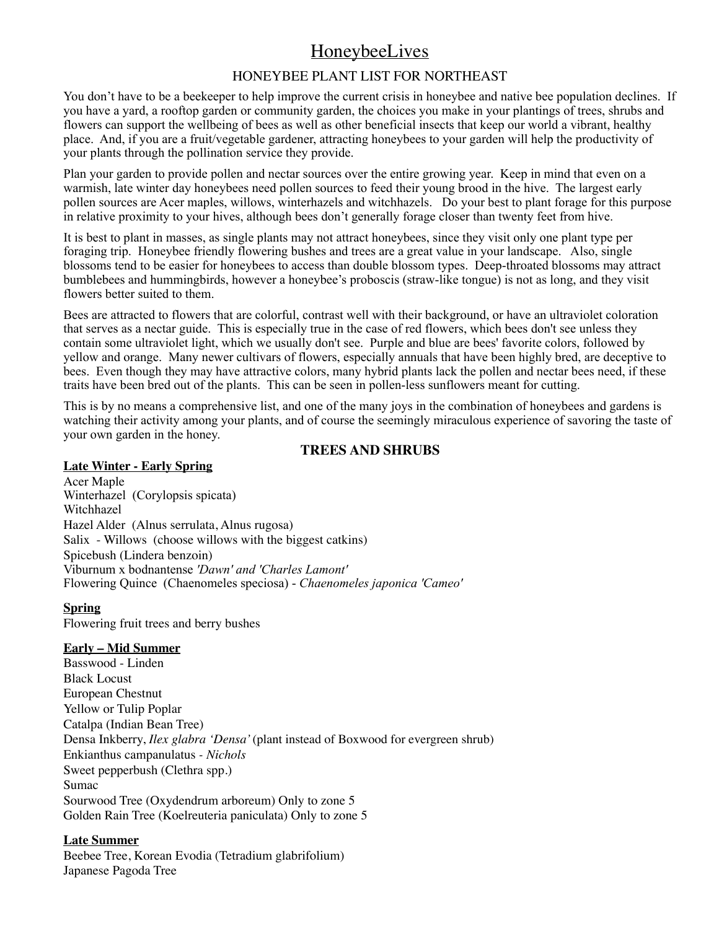# HoneybeeLives

# HONEYBEE PLANT LIST FOR NORTHEAST

You don't have to be a beekeeper to help improve the current crisis in honeybee and native bee population declines. If you have a yard, a rooftop garden or community garden, the choices you make in your plantings of trees, shrubs and flowers can support the wellbeing of bees as well as other beneficial insects that keep our world a vibrant, healthy place. And, if you are a fruit/vegetable gardener, attracting honeybees to your garden will help the productivity of your plants through the pollination service they provide.

Plan your garden to provide pollen and nectar sources over the entire growing year. Keep in mind that even on a warmish, late winter day honeybees need pollen sources to feed their young brood in the hive. The largest early pollen sources are Acer maples, willows, winterhazels and witchhazels. Do your best to plant forage for this purpose in relative proximity to your hives, although bees don't generally forage closer than twenty feet from hive.

It is best to plant in masses, as single plants may not attract honeybees, since they visit only one plant type per foraging trip. Honeybee friendly flowering bushes and trees are a great value in your landscape. Also, single blossoms tend to be easier for honeybees to access than double blossom types. Deep-throated blossoms may attract bumblebees and hummingbirds, however a honeybee's proboscis (straw-like tongue) is not as long, and they visit flowers better suited to them.

Bees are attracted to flowers that are colorful, contrast well with their background, or have an ultraviolet coloration that serves as a nectar guide. This is especially true in the case of red flowers, which bees don't see unless they contain some ultraviolet light, which we usually don't see. Purple and blue are bees' favorite colors, followed by yellow and orange. Many newer cultivars of flowers, especially annuals that have been highly bred, are deceptive to bees. Even though they may have attractive colors, many hybrid plants lack the pollen and nectar bees need, if these traits have been bred out of the plants. This can be seen in pollen-less sunflowers meant for cutting.

This is by no means a comprehensive list, and one of the many joys in the combination of honeybees and gardens is watching their activity among your plants, and of course the seemingly miraculous experience of savoring the taste of your own garden in the honey.

# **TREES AND SHRUBS**

## **Late Winter - Early Spring**

Acer Maple [Winterhazel \(Corylopsis spicata](http://www.carrollgardens.com/Trees_Shrubs/detail.asp?PRODUCT_ID=420-10-12840)) Witchhazel Hazel Alder (Alnus serrulata, Alnus rugosa) Salix - Willows (choose willows with the biggest catkins) Spicebush (Lindera benzoin) Viburnum x bodnantense *'Dawn' and 'Charles Lamont'* Flowering Quince (Chaenomeles speciosa) - *Chaenomeles japonica 'Cameo'*

# **Spring**

Flowering fruit trees and berry bushes

# **Early – Mid Summer**

Basswood - Linden Black Locust European Chestnut Yellow or Tulip Poplar Catalpa (Indian Bean Tree) Densa Inkberry, *Ilex glabra 'Densa'* (plant instead of Boxwood for evergreen shrub) Enkianthus campanulatus *- Nichols* Sweet pepperbush (Clethra spp.) Sumac Sourwood Tree (Oxydendrum arboreum) Only to zone 5 Golden Rain Tree (Koelreuteria paniculata) Only to zone 5

# **Late Summer**

Beebee Tree, Korean Evodia (Tetradium glabrifolium) Japanese Pagoda Tree